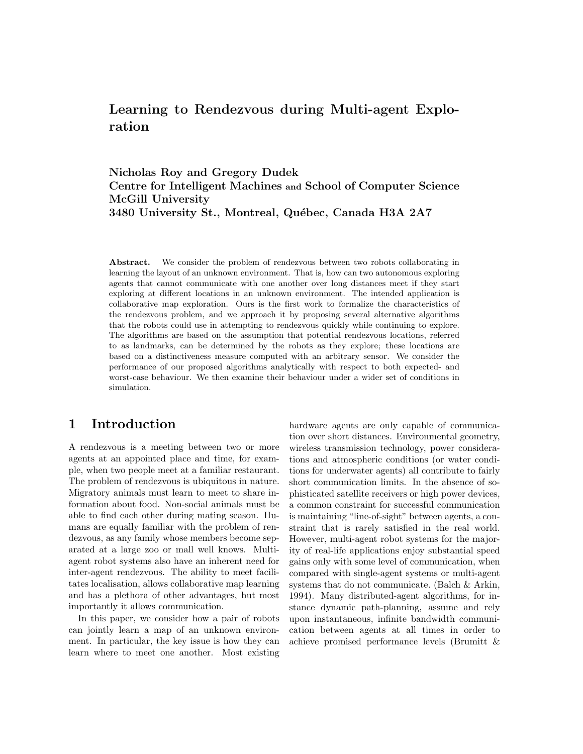# Learning to Rendezvous during Multi-agent Exploration

Nicholas Roy and Gregory Dudek Centre for Intelligent Machines and School of Computer Science McGill University 3480 University St., Montreal, Québec, Canada H3A 2A7

Abstract. We consider the problem of rendezvous between two robots collaborating in learning the layout of an unknown environment. That is, how can two autonomous exploring agents that cannot communicate with one another over long distances meet if they start exploring at different locations in an unknown environment. The intended application is collaborative map exploration. Ours is the first work to formalize the characteristics of the rendezvous problem, and we approach it by proposing several alternative algorithms that the robots could use in attempting to rendezvous quickly while continuing to explore. The algorithms are based on the assumption that potential rendezvous locations, referred to as landmarks, can be determined by the robots as they explore; these locations are based on a distinctiveness measure computed with an arbitrary sensor. We consider the performance of our proposed algorithms analytically with respect to both expected- and worst-case behaviour. We then examine their behaviour under a wider set of conditions in simulation.

### 1 Introduction

A rendezvous is a meeting between two or more agents at an appointed place and time, for example, when two people meet at a familiar restaurant. The problem of rendezvous is ubiquitous in nature. Migratory animals must learn to meet to share information about food. Non-social animals must be able to find each other during mating season. Humans are equally familiar with the problem of rendezvous, as any family whose members become separated at a large zoo or mall well knows. Multiagent robot systems also have an inherent need for inter-agent rendezvous. The ability to meet facilitates localisation, allows collaborative map learning and has a plethora of other advantages, but most importantly it allows communication.

In this paper, we consider how a pair of robots can jointly learn a map of an unknown environment. In particular, the key issue is how they can learn where to meet one another. Most existing hardware agents are only capable of communication over short distances. Environmental geometry, wireless transmission technology, power considerations and atmospheric conditions (or water conditions for underwater agents) all contribute to fairly short communication limits. In the absence of sophisticated satellite receivers or high power devices, a common constraint for successful communication is maintaining "line-of-sight" between agents, a constraint that is rarely satisfied in the real world. However, multi-agent robot systems for the majority of real-life applications enjoy substantial speed gains only with some level of communication, when compared with single-agent systems or multi-agent systems that do not communicate. (Balch & Arkin, 1994). Many distributed-agent algorithms, for instance dynamic path-planning, assume and rely upon instantaneous, infinite bandwidth communication between agents at all times in order to achieve promised performance levels (Brumitt &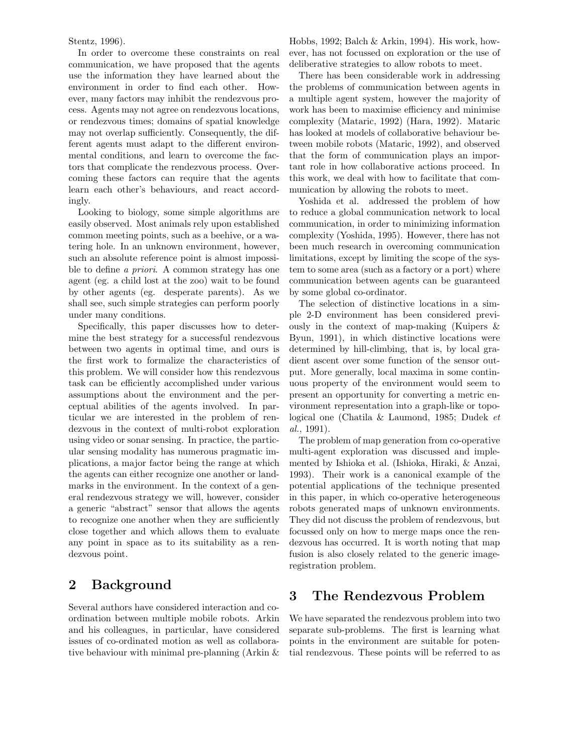Stentz, 1996).

In order to overcome these constraints on real communication, we have proposed that the agents use the information they have learned about the environment in order to find each other. However, many factors may inhibit the rendezvous process. Agents may not agree on rendezvous locations, or rendezvous times; domains of spatial knowledge may not overlap sufficiently. Consequently, the different agents must adapt to the different environmental conditions, and learn to overcome the factors that complicate the rendezvous process. Overcoming these factors can require that the agents learn each other's behaviours, and react accordingly.

Looking to biology, some simple algorithms are easily observed. Most animals rely upon established common meeting points, such as a beehive, or a watering hole. In an unknown environment, however, such an absolute reference point is almost impossible to define a priori. A common strategy has one agent (eg. a child lost at the zoo) wait to be found by other agents (eg. desperate parents). As we shall see, such simple strategies can perform poorly under many conditions.

Specifically, this paper discusses how to determine the best strategy for a successful rendezvous between two agents in optimal time, and ours is the first work to formalize the characteristics of this problem. We will consider how this rendezvous task can be efficiently accomplished under various assumptions about the environment and the perceptual abilities of the agents involved. In particular we are interested in the problem of rendezvous in the context of multi-robot exploration using video or sonar sensing. In practice, the particular sensing modality has numerous pragmatic implications, a major factor being the range at which the agents can either recognize one another or landmarks in the environment. In the context of a general rendezvous strategy we will, however, consider a generic "abstract" sensor that allows the agents to recognize one another when they are sufficiently close together and which allows them to evaluate any point in space as to its suitability as a rendezvous point.

## 2 Background

Several authors have considered interaction and coordination between multiple mobile robots. Arkin and his colleagues, in particular, have considered issues of co-ordinated motion as well as collaborative behaviour with minimal pre-planning (Arkin & Hobbs, 1992; Balch & Arkin, 1994). His work, however, has not focussed on exploration or the use of deliberative strategies to allow robots to meet.

There has been considerable work in addressing the problems of communication between agents in a multiple agent system, however the majority of work has been to maximise efficiency and minimise complexity (Mataric, 1992) (Hara, 1992). Mataric has looked at models of collaborative behaviour between mobile robots (Mataric, 1992), and observed that the form of communication plays an important role in how collaborative actions proceed. In this work, we deal with how to facilitate that communication by allowing the robots to meet.

Yoshida et al. addressed the problem of how to reduce a global communication network to local communication, in order to minimizing information complexity (Yoshida, 1995). However, there has not been much research in overcoming communication limitations, except by limiting the scope of the system to some area (such as a factory or a port) where communication between agents can be guaranteed by some global co-ordinator.

The selection of distinctive locations in a simple 2-D environment has been considered previously in the context of map-making (Kuipers & Byun, 1991), in which distinctive locations were determined by hill-climbing, that is, by local gradient ascent over some function of the sensor output. More generally, local maxima in some continuous property of the environment would seem to present an opportunity for converting a metric environment representation into a graph-like or topological one (Chatila & Laumond, 1985; Dudek et al., 1991).

The problem of map generation from co-operative multi-agent exploration was discussed and implemented by Ishioka et al. (Ishioka, Hiraki, & Anzai, 1993). Their work is a canonical example of the potential applications of the technique presented in this paper, in which co-operative heterogeneous robots generated maps of unknown environments. They did not discuss the problem of rendezvous, but focussed only on how to merge maps once the rendezvous has occurred. It is worth noting that map fusion is also closely related to the generic imageregistration problem.

## 3 The Rendezvous Problem

We have separated the rendezvous problem into two separate sub-problems. The first is learning what points in the environment are suitable for potential rendezvous. These points will be referred to as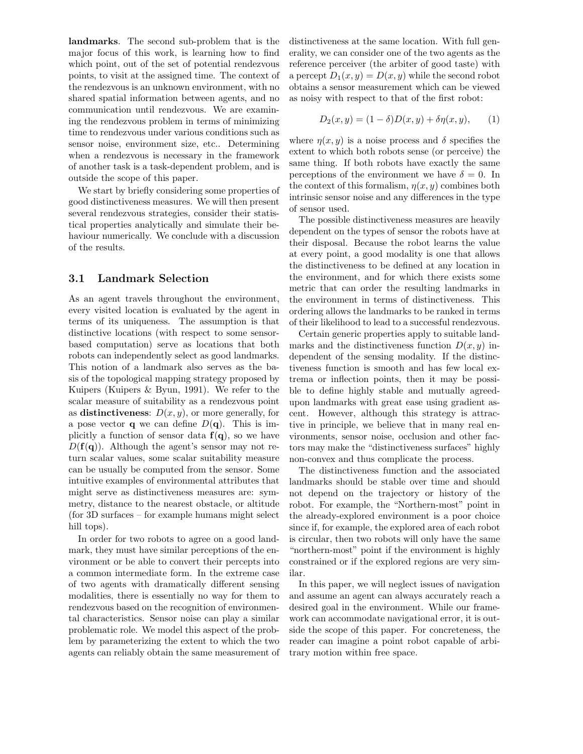landmarks. The second sub-problem that is the major focus of this work, is learning how to find which point, out of the set of potential rendezvous points, to visit at the assigned time. The context of the rendezvous is an unknown environment, with no shared spatial information between agents, and no communication until rendezvous. We are examining the rendezvous problem in terms of minimizing time to rendezvous under various conditions such as sensor noise, environment size, etc.. Determining when a rendezvous is necessary in the framework of another task is a task-dependent problem, and is outside the scope of this paper.

We start by briefly considering some properties of good distinctiveness measures. We will then present several rendezvous strategies, consider their statistical properties analytically and simulate their behaviour numerically. We conclude with a discussion of the results.

#### 3.1 Landmark Selection

As an agent travels throughout the environment, every visited location is evaluated by the agent in terms of its uniqueness. The assumption is that distinctive locations (with respect to some sensorbased computation) serve as locations that both robots can independently select as good landmarks. This notion of a landmark also serves as the basis of the topological mapping strategy proposed by Kuipers (Kuipers & Byun, 1991). We refer to the scalar measure of suitability as a rendezvous point as distinctiveness:  $D(x, y)$ , or more generally, for a pose vector **q** we can define  $D(\mathbf{q})$ . This is implicitly a function of sensor data  $f(q)$ , so we have  $D(\mathbf{f}(\mathbf{q}))$ . Although the agent's sensor may not return scalar values, some scalar suitability measure can be usually be computed from the sensor. Some intuitive examples of environmental attributes that might serve as distinctiveness measures are: symmetry, distance to the nearest obstacle, or altitude (for 3D surfaces – for example humans might select hill tops).

In order for two robots to agree on a good landmark, they must have similar perceptions of the environment or be able to convert their percepts into a common intermediate form. In the extreme case of two agents with dramatically different sensing modalities, there is essentially no way for them to rendezvous based on the recognition of environmental characteristics. Sensor noise can play a similar problematic role. We model this aspect of the problem by parameterizing the extent to which the two agents can reliably obtain the same measurement of distinctiveness at the same location. With full generality, we can consider one of the two agents as the reference perceiver (the arbiter of good taste) with a percept  $D_1(x, y) = D(x, y)$  while the second robot obtains a sensor measurement which can be viewed as noisy with respect to that of the first robot:

$$
D_2(x, y) = (1 - \delta)D(x, y) + \delta \eta(x, y), \qquad (1)
$$

where  $\eta(x, y)$  is a noise process and  $\delta$  specifies the extent to which both robots sense (or perceive) the same thing. If both robots have exactly the same perceptions of the environment we have  $\delta = 0$ . In the context of this formalism,  $\eta(x, y)$  combines both intrinsic sensor noise and any differences in the type of sensor used.

The possible distinctiveness measures are heavily dependent on the types of sensor the robots have at their disposal. Because the robot learns the value at every point, a good modality is one that allows the distinctiveness to be defined at any location in the environment, and for which there exists some metric that can order the resulting landmarks in the environment in terms of distinctiveness. This ordering allows the landmarks to be ranked in terms of their likelihood to lead to a successful rendezvous.

Certain generic properties apply to suitable landmarks and the distinctiveness function  $D(x, y)$  independent of the sensing modality. If the distinctiveness function is smooth and has few local extrema or inflection points, then it may be possible to define highly stable and mutually agreedupon landmarks with great ease using gradient ascent. However, although this strategy is attractive in principle, we believe that in many real environments, sensor noise, occlusion and other factors may make the "distinctiveness surfaces" highly non-convex and thus complicate the process.

The distinctiveness function and the associated landmarks should be stable over time and should not depend on the trajectory or history of the robot. For example, the "Northern-most" point in the already-explored environment is a poor choice since if, for example, the explored area of each robot is circular, then two robots will only have the same "northern-most" point if the environment is highly constrained or if the explored regions are very similar.

In this paper, we will neglect issues of navigation and assume an agent can always accurately reach a desired goal in the environment. While our framework can accommodate navigational error, it is outside the scope of this paper. For concreteness, the reader can imagine a point robot capable of arbitrary motion within free space.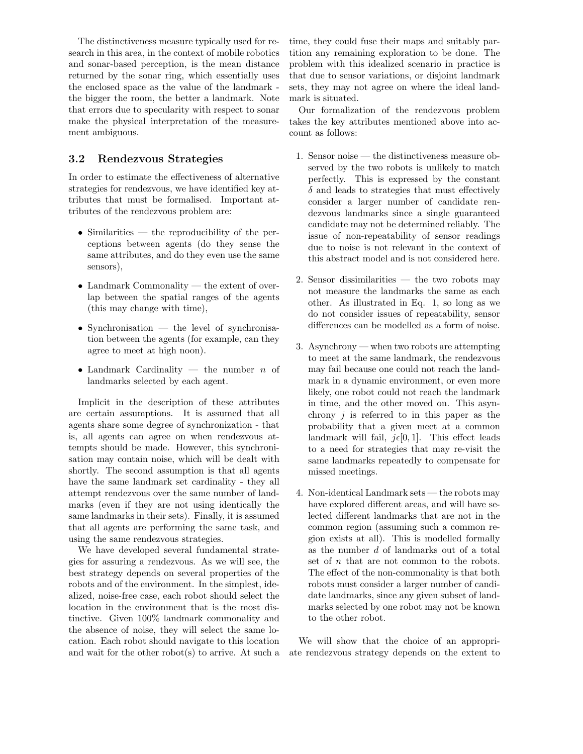The distinctiveness measure typically used for research in this area, in the context of mobile robotics and sonar-based perception, is the mean distance returned by the sonar ring, which essentially uses the enclosed space as the value of the landmark the bigger the room, the better a landmark. Note that errors due to specularity with respect to sonar make the physical interpretation of the measurement ambiguous.

#### 3.2 Rendezvous Strategies

In order to estimate the effectiveness of alternative strategies for rendezvous, we have identified key attributes that must be formalised. Important attributes of the rendezvous problem are:

- Similarities the reproducibility of the perceptions between agents (do they sense the same attributes, and do they even use the same sensors),
- Landmark Commonality the extent of overlap between the spatial ranges of the agents (this may change with time),
- Synchronisation the level of synchronisation between the agents (for example, can they agree to meet at high noon).
- Landmark Cardinality the number  $n$  of landmarks selected by each agent.

Implicit in the description of these attributes are certain assumptions. It is assumed that all agents share some degree of synchronization - that is, all agents can agree on when rendezvous attempts should be made. However, this synchronisation may contain noise, which will be dealt with shortly. The second assumption is that all agents have the same landmark set cardinality - they all attempt rendezvous over the same number of landmarks (even if they are not using identically the same landmarks in their sets). Finally, it is assumed that all agents are performing the same task, and using the same rendezvous strategies.

We have developed several fundamental strategies for assuring a rendezvous. As we will see, the best strategy depends on several properties of the robots and of the environment. In the simplest, idealized, noise-free case, each robot should select the location in the environment that is the most distinctive. Given 100% landmark commonality and the absence of noise, they will select the same location. Each robot should navigate to this location and wait for the other robot(s) to arrive. At such a time, they could fuse their maps and suitably partition any remaining exploration to be done. The problem with this idealized scenario in practice is that due to sensor variations, or disjoint landmark sets, they may not agree on where the ideal landmark is situated.

Our formalization of the rendezvous problem takes the key attributes mentioned above into account as follows:

- 1. Sensor noise the distinctiveness measure observed by the two robots is unlikely to match perfectly. This is expressed by the constant  $\delta$  and leads to strategies that must effectively consider a larger number of candidate rendezvous landmarks since a single guaranteed candidate may not be determined reliably. The issue of non-repeatability of sensor readings due to noise is not relevant in the context of this abstract model and is not considered here.
- 2. Sensor dissimilarities the two robots may not measure the landmarks the same as each other. As illustrated in Eq. 1, so long as we do not consider issues of repeatability, sensor differences can be modelled as a form of noise.
- 3. Asynchrony when two robots are attempting to meet at the same landmark, the rendezvous may fail because one could not reach the landmark in a dynamic environment, or even more likely, one robot could not reach the landmark in time, and the other moved on. This asynchrony  $i$  is referred to in this paper as the probability that a given meet at a common landmark will fail,  $j\epsilon[0, 1]$ . This effect leads to a need for strategies that may re-visit the same landmarks repeatedly to compensate for missed meetings.
- 4. Non-identical Landmark sets the robots may have explored different areas, and will have selected different landmarks that are not in the common region (assuming such a common region exists at all). This is modelled formally as the number d of landmarks out of a total set of  $n$  that are not common to the robots. The effect of the non-commonality is that both robots must consider a larger number of candidate landmarks, since any given subset of landmarks selected by one robot may not be known to the other robot.

We will show that the choice of an appropriate rendezvous strategy depends on the extent to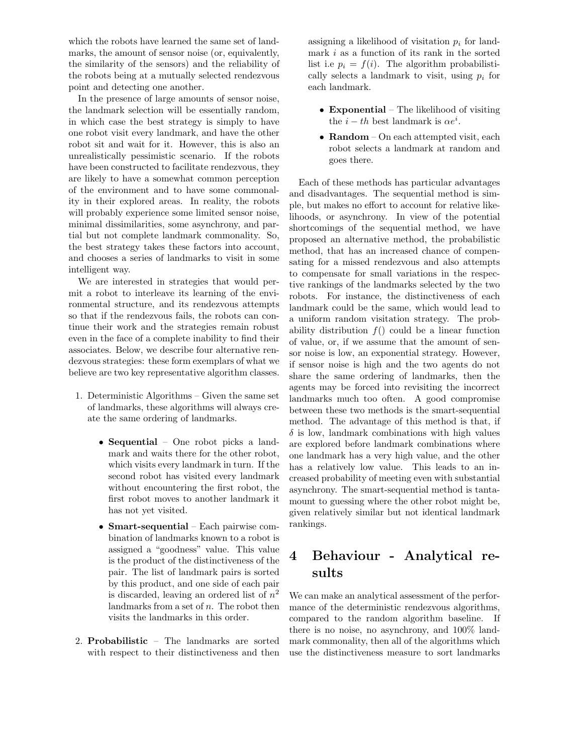which the robots have learned the same set of landmarks, the amount of sensor noise (or, equivalently, the similarity of the sensors) and the reliability of the robots being at a mutually selected rendezvous point and detecting one another.

In the presence of large amounts of sensor noise, the landmark selection will be essentially random, in which case the best strategy is simply to have one robot visit every landmark, and have the other robot sit and wait for it. However, this is also an unrealistically pessimistic scenario. If the robots have been constructed to facilitate rendezvous, they are likely to have a somewhat common perception of the environment and to have some commonality in their explored areas. In reality, the robots will probably experience some limited sensor noise, minimal dissimilarities, some asynchrony, and partial but not complete landmark commonality. So, the best strategy takes these factors into account, and chooses a series of landmarks to visit in some intelligent way.

We are interested in strategies that would permit a robot to interleave its learning of the environmental structure, and its rendezvous attempts so that if the rendezvous fails, the robots can continue their work and the strategies remain robust even in the face of a complete inability to find their associates. Below, we describe four alternative rendezvous strategies: these form exemplars of what we believe are two key representative algorithm classes.

- 1. Deterministic Algorithms Given the same set of landmarks, these algorithms will always create the same ordering of landmarks.
	- **Sequential** One robot picks a landmark and waits there for the other robot, which visits every landmark in turn. If the second robot has visited every landmark without encountering the first robot, the first robot moves to another landmark it has not yet visited.
	- Smart-sequential Each pairwise combination of landmarks known to a robot is assigned a "goodness" value. This value is the product of the distinctiveness of the pair. The list of landmark pairs is sorted by this product, and one side of each pair is discarded, leaving an ordered list of  $n^2$ landmarks from a set of  $n$ . The robot then visits the landmarks in this order.
- 2. Probabilistic The landmarks are sorted with respect to their distinctiveness and then

assigning a likelihood of visitation  $p_i$  for landmark  $i$  as a function of its rank in the sorted list i.e  $p_i = f(i)$ . The algorithm probabilistically selects a landmark to visit, using  $p_i$  for each landmark.

- Exponential The likelihood of visiting the  $i-th$  best landmark is  $\alpha e^i$ .
- Random On each attempted visit, each robot selects a landmark at random and goes there.

Each of these methods has particular advantages and disadvantages. The sequential method is simple, but makes no effort to account for relative likelihoods, or asynchrony. In view of the potential shortcomings of the sequential method, we have proposed an alternative method, the probabilistic method, that has an increased chance of compensating for a missed rendezvous and also attempts to compensate for small variations in the respective rankings of the landmarks selected by the two robots. For instance, the distinctiveness of each landmark could be the same, which would lead to a uniform random visitation strategy. The probability distribution  $f()$  could be a linear function of value, or, if we assume that the amount of sensor noise is low, an exponential strategy. However, if sensor noise is high and the two agents do not share the same ordering of landmarks, then the agents may be forced into revisiting the incorrect landmarks much too often. A good compromise between these two methods is the smart-sequential method. The advantage of this method is that, if  $\delta$  is low, landmark combinations with high values are explored before landmark combinations where one landmark has a very high value, and the other has a relatively low value. This leads to an increased probability of meeting even with substantial asynchrony. The smart-sequential method is tantamount to guessing where the other robot might be, given relatively similar but not identical landmark rankings.

# 4 Behaviour - Analytical results

We can make an analytical assessment of the performance of the deterministic rendezvous algorithms, compared to the random algorithm baseline. If there is no noise, no asynchrony, and 100% landmark commonality, then all of the algorithms which use the distinctiveness measure to sort landmarks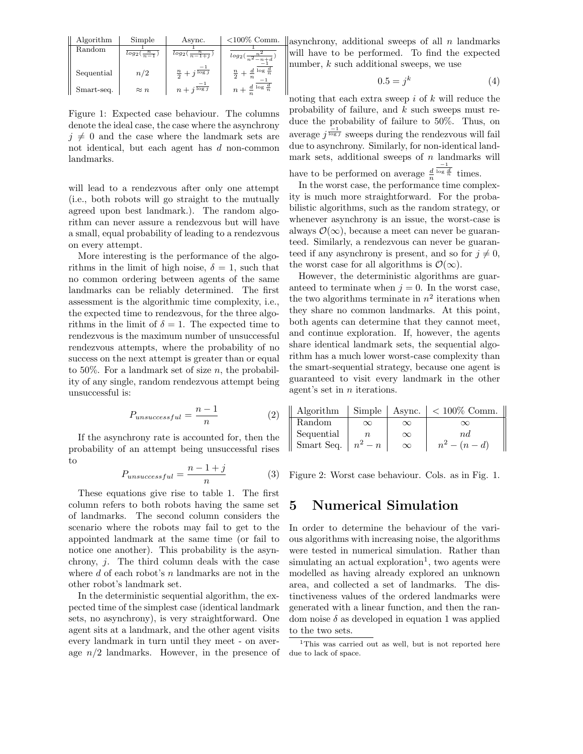| Algorithm  | Simple                 | Async.                          | $< 100\%$ Comm.                             |
|------------|------------------------|---------------------------------|---------------------------------------------|
| Random     | $log_2(\frac{n}{n-1})$ | $log_2(\frac{n}{n-1+i})$        | $log_2(\frac{n^2}{n^2-n+d})$                |
| Sequential | n/2                    | $\frac{n}{2}+j\frac{1}{\log j}$ | $\frac{n}{2}+\frac{d}{n}$ log $\frac{d}{n}$ |
| Smart-seq. | $\approx n$            | $n + j^{\log j}$                | $n+\frac{d}{n}$ log $\frac{d}{n}$           |

Figure 1: Expected case behaviour. The columns denote the ideal case, the case where the asynchrony  $j \neq 0$  and the case where the landmark sets are not identical, but each agent has d non-common landmarks.

will lead to a rendezvous after only one attempt (i.e., both robots will go straight to the mutually agreed upon best landmark.). The random algorithm can never assure a rendezvous but will have a small, equal probability of leading to a rendezvous on every attempt.

More interesting is the performance of the algorithms in the limit of high noise,  $\delta = 1$ , such that no common ordering between agents of the same landmarks can be reliably determined. The first assessment is the algorithmic time complexity, i.e., the expected time to rendezvous, for the three algorithms in the limit of  $\delta = 1$ . The expected time to rendezvous is the maximum number of unsuccessful rendezvous attempts, where the probability of no success on the next attempt is greater than or equal to 50%. For a landmark set of size  $n$ , the probability of any single, random rendezvous attempt being unsuccessful is:

$$
P_{unsuccessful} = \frac{n-1}{n} \tag{2}
$$

If the asynchrony rate is accounted for, then the probability of an attempt being unsuccessful rises to

$$
P_{unsuccessful} = \frac{n-1+j}{n} \tag{3}
$$

These equations give rise to table 1. The first column refers to both robots having the same set of landmarks. The second column considers the scenario where the robots may fail to get to the appointed landmark at the same time (or fail to notice one another). This probability is the asynchrony,  $i$ . The third column deals with the case where  $d$  of each robot's  $n$  landmarks are not in the other robot's landmark set.

In the deterministic sequential algorithm, the expected time of the simplest case (identical landmark sets, no asynchrony), is very straightforward. One agent sits at a landmark, and the other agent visits every landmark in turn until they meet - on average  $n/2$  landmarks. However, in the presence of

 $\parallel$ asynchrony, additional sweeps of all *n* landmarks will have to be performed. To find the expected number, k such additional sweeps, we use

$$
0.5 = j^k \tag{4}
$$

noting that each extra sweep  $i$  of  $k$  will reduce the probability of failure, and  $k$  such sweeps must reduce the probability of failure to 50%. Thus, on average  $j^{\frac{-1}{\log j}}$  sweeps during the rendezvous will fail due to asynchrony. Similarly, for non-identical landmark sets, additional sweeps of  $n$  landmarks will

have to be performed on average  $\frac{d}{n}$  $\frac{-1}{\log \frac{d}{n}}$  times.

In the worst case, the performance time complexity is much more straightforward. For the probabilistic algorithms, such as the random strategy, or whenever asynchrony is an issue, the worst-case is always  $\mathcal{O}(\infty)$ , because a meet can never be guaranteed. Similarly, a rendezvous can never be guaranteed if any asynchrony is present, and so for  $j \neq 0$ , the worst case for all algorithms is  $\mathcal{O}(\infty)$ .

However, the deterministic algorithms are guaranteed to terminate when  $j = 0$ . In the worst case, the two algorithms terminate in  $n^2$  iterations when they share no common landmarks. At this point, both agents can determine that they cannot meet, and continue exploration. If, however, the agents share identical landmark sets, the sequential algorithm has a much lower worst-case complexity than the smart-sequential strategy, because one agent is guaranteed to visit every landmark in the other agent's set in n iterations.

| Algorithm                      |          |          | Simple   Async. $ $ < 100% Comm. |
|--------------------------------|----------|----------|----------------------------------|
| Random                         | $\infty$ | $\infty$ | $\propto$                        |
| Sequential                     |          | $\infty$ | $n_{d}$                          |
| Smart Seq. $\mid n^2 - n \mid$ |          | $\infty$ | $n^2 - (n - d)$                  |

Figure 2: Worst case behaviour. Cols. as in Fig. 1.

### 5 Numerical Simulation

In order to determine the behaviour of the various algorithms with increasing noise, the algorithms were tested in numerical simulation. Rather than simulating an actual exploration<sup>1</sup>, two agents were modelled as having already explored an unknown area, and collected a set of landmarks. The distinctiveness values of the ordered landmarks were generated with a linear function, and then the random noise  $\delta$  as developed in equation 1 was applied to the two sets.

<sup>1</sup>This was carried out as well, but is not reported here due to lack of space.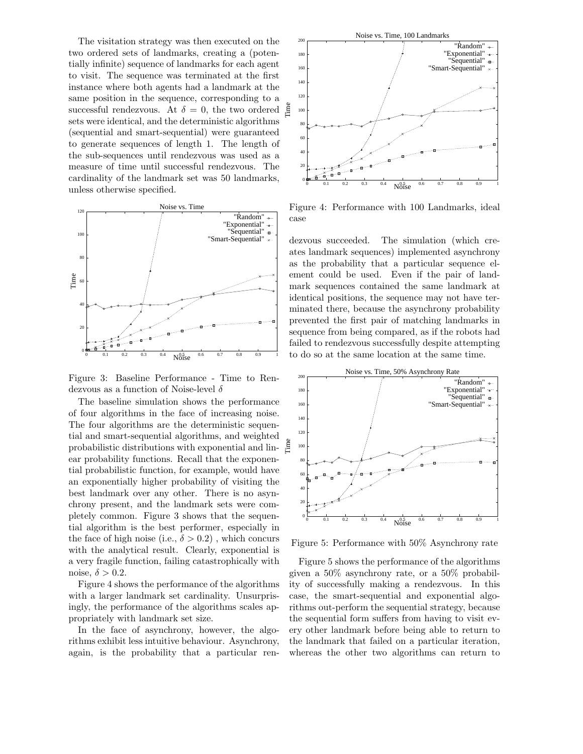The visitation strategy was then executed on the two ordered sets of landmarks, creating a (potentially infinite) sequence of landmarks for each agent to visit. The sequence was terminated at the first instance where both agents had a landmark at the same position in the sequence, corresponding to a successful rendezvous. At  $\delta = 0$ , the two ordered sets were identical, and the deterministic algorithms (sequential and smart-sequential) were guaranteed to generate sequences of length 1. The length of the sub-sequences until rendezvous was used as a measure of time until successful rendezvous. The cardinality of the landmark set was 50 landmarks, unless otherwise specified.



Figure 3: Baseline Performance - Time to Rendezvous as a function of Noise-level  $\delta$ 

The baseline simulation shows the performance of four algorithms in the face of increasing noise. The four algorithms are the deterministic sequential and smart-sequential algorithms, and weighted probabilistic distributions with exponential and linear probability functions. Recall that the exponential probabilistic function, for example, would have an exponentially higher probability of visiting the best landmark over any other. There is no asynchrony present, and the landmark sets were completely common. Figure 3 shows that the sequential algorithm is the best performer, especially in the face of high noise (i.e.,  $\delta > 0.2$ ), which concurs with the analytical result. Clearly, exponential is a very fragile function, failing catastrophically with noise,  $\delta > 0.2$ .

Figure 4 shows the performance of the algorithms with a larger landmark set cardinality. Unsurprisingly, the performance of the algorithms scales appropriately with landmark set size.

In the face of asynchrony, however, the algorithms exhibit less intuitive behaviour. Asynchrony, again, is the probability that a particular ren-



Figure 4: Performance with 100 Landmarks, ideal case

dezvous succeeded. The simulation (which creates landmark sequences) implemented asynchrony as the probability that a particular sequence element could be used. Even if the pair of landmark sequences contained the same landmark at identical positions, the sequence may not have terminated there, because the asynchrony probability prevented the first pair of matching landmarks in sequence from being compared, as if the robots had failed to rendezvous successfully despite attempting to do so at the same location at the same time.



Figure 5: Performance with 50% Asynchrony rate

Figure 5 shows the performance of the algorithms given a 50% asynchrony rate, or a 50% probability of successfully making a rendezvous. In this case, the smart-sequential and exponential algorithms out-perform the sequential strategy, because the sequential form suffers from having to visit every other landmark before being able to return to the landmark that failed on a particular iteration, whereas the other two algorithms can return to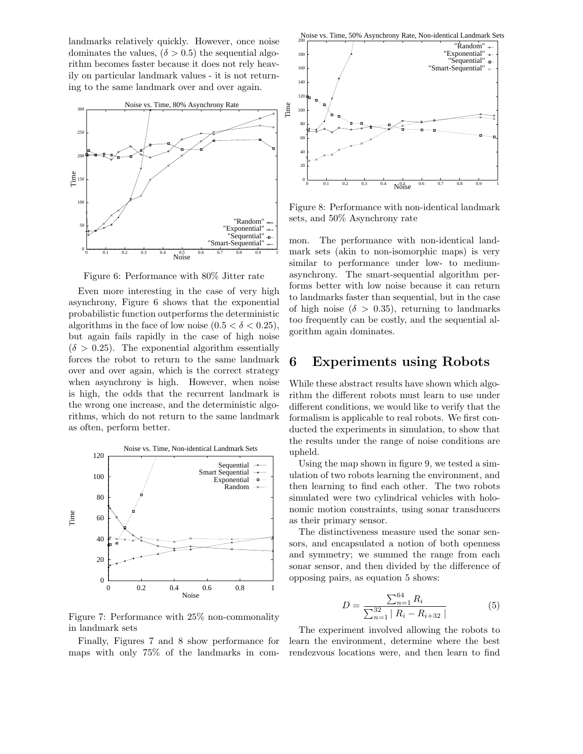landmarks relatively quickly. However, once noise dominates the values,  $(\delta > 0.5)$  the sequential algorithm becomes faster because it does not rely heavily on particular landmark values - it is not returning to the same landmark over and over again.



Figure 6: Performance with 80% Jitter rate

Even more interesting in the case of very high asynchrony, Figure 6 shows that the exponential probabilistic function outperforms the deterministic algorithms in the face of low noise  $(0.5 < \delta < 0.25)$ , but again fails rapidly in the case of high noise  $(\delta > 0.25)$ . The exponential algorithm essentially forces the robot to return to the same landmark over and over again, which is the correct strategy when asynchrony is high. However, when noise is high, the odds that the recurrent landmark is the wrong one increase, and the deterministic algorithms, which do not return to the same landmark as often, perform better.



Figure 7: Performance with 25% non-commonality in landmark sets

Finally, Figures 7 and 8 show performance for maps with only 75% of the landmarks in com-





Figure 8: Performance with non-identical landmark sets, and 50% Asynchrony rate

mon. The performance with non-identical landmark sets (akin to non-isomorphic maps) is very similar to performance under low- to mediumasynchrony. The smart-sequential algorithm performs better with low noise because it can return to landmarks faster than sequential, but in the case of high noise ( $\delta > 0.35$ ), returning to landmarks too frequently can be costly, and the sequential algorithm again dominates.

### 6 Experiments using Robots

While these abstract results have shown which algorithm the different robots must learn to use under different conditions, we would like to verify that the formalism is applicable to real robots. We first conducted the experiments in simulation, to show that the results under the range of noise conditions are upheld.

Using the map shown in figure 9, we tested a simulation of two robots learning the environment, and then learning to find each other. The two robots simulated were two cylindrical vehicles with holonomic motion constraints, using sonar transducers as their primary sensor.

The distinctiveness measure used the sonar sensors, and encapsulated a notion of both openness and symmetry; we summed the range from each sonar sensor, and then divided by the difference of opposing pairs, as equation 5 shows:

$$
D = \frac{\sum_{n=1}^{64} R_i}{\sum_{n=1}^{32} |R_i - R_{i+32}|}
$$
(5)

The experiment involved allowing the robots to learn the environment, determine where the best rendezvous locations were, and then learn to find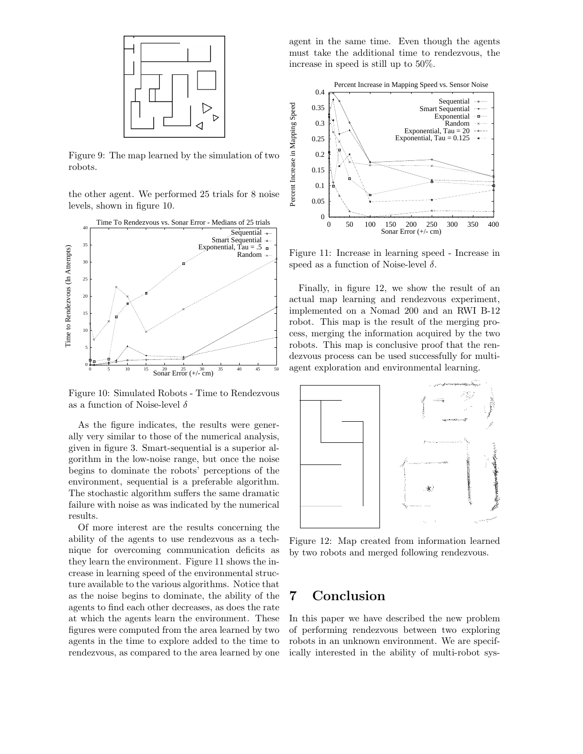

Figure 9: The map learned by the simulation of two robots.

the other agent. We performed 25 trials for 8 noise levels, shown in figure 10.



Figure 10: Simulated Robots - Time to Rendezvous as a function of Noise-level  $\delta$ 

As the figure indicates, the results were generally very similar to those of the numerical analysis, given in figure 3. Smart-sequential is a superior algorithm in the low-noise range, but once the noise begins to dominate the robots' perceptions of the environment, sequential is a preferable algorithm. The stochastic algorithm suffers the same dramatic failure with noise as was indicated by the numerical results.

Of more interest are the results concerning the ability of the agents to use rendezvous as a technique for overcoming communication deficits as they learn the environment. Figure 11 shows the increase in learning speed of the environmental structure available to the various algorithms. Notice that as the noise begins to dominate, the ability of the agents to find each other decreases, as does the rate at which the agents learn the environment. These figures were computed from the area learned by two agents in the time to explore added to the time to rendezvous, as compared to the area learned by one agent in the same time. Even though the agents must take the additional time to rendezvous, the increase in speed is still up to 50%.



Figure 11: Increase in learning speed - Increase in speed as a function of Noise-level  $\delta$ .

Finally, in figure 12, we show the result of an actual map learning and rendezvous experiment, implemented on a Nomad 200 and an RWI B-12 robot. This map is the result of the merging process, merging the information acquired by the two robots. This map is conclusive proof that the rendezvous process can be used successfully for multiagent exploration and environmental learning.



Figure 12: Map created from information learned by two robots and merged following rendezvous.

## 7 Conclusion

In this paper we have described the new problem of performing rendezvous between two exploring robots in an unknown environment. We are specifically interested in the ability of multi-robot sys